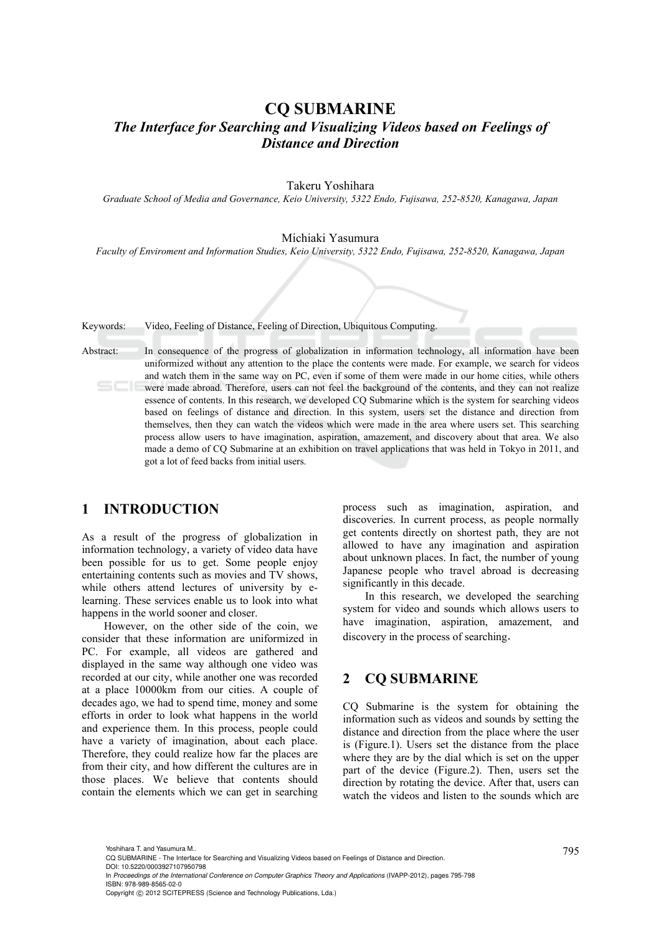# **CQ SUBMARINE**  *The Interface for Searching and Visualizing Videos based on Feelings of Distance and Direction*

Takeru Yoshihara

*Graduate School of Media and Governance, Keio University, 5322 Endo, Fujisawa, 252-8520, Kanagawa, Japan* 

#### Michiaki Yasumura

*Faculty of Enviroment and Information Studies, Keio University, 5322 Endo, Fujisawa, 252-8520, Kanagawa, Japan* 

Keywords: Video, Feeling of Distance, Feeling of Direction, Ubiquitous Computing.

Abstract: In consequence of the progress of globalization in information technology, all information have been uniformized without any attention to the place the contents were made. For example, we search for videos and watch them in the same way on PC, even if some of them were made in our home cities, while others were made abroad. Therefore, users can not feel the background of the contents, and they can not realize essence of contents. In this research, we developed CQ Submarine which is the system for searching videos based on feelings of distance and direction. In this system, users set the distance and direction from themselves, then they can watch the videos which were made in the area where users set. This searching process allow users to have imagination, aspiration, amazement, and discovery about that area. We also made a demo of CQ Submarine at an exhibition on travel applications that was held in Tokyo in 2011, and got a lot of feed backs from initial users.

# **1 INTRODUCTION**

As a result of the progress of globalization in information technology, a variety of video data have been possible for us to get. Some people enjoy entertaining contents such as movies and TV shows, while others attend lectures of university by elearning. These services enable us to look into what happens in the world sooner and closer.

However, on the other side of the coin, we consider that these information are uniformized in PC. For example, all videos are gathered and displayed in the same way although one video was recorded at our city, while another one was recorded at a place 10000km from our cities. A couple of decades ago, we had to spend time, money and some efforts in order to look what happens in the world and experience them. In this process, people could have a variety of imagination, about each place. Therefore, they could realize how far the places are from their city, and how different the cultures are in those places. We believe that contents should contain the elements which we can get in searching

process such as imagination, aspiration, and discoveries. In current process, as people normally get contents directly on shortest path, they are not allowed to have any imagination and aspiration about unknown places. In fact, the number of young Japanese people who travel abroad is decreasing significantly in this decade.

In this research, we developed the searching system for video and sounds which allows users to have imagination, aspiration, amazement, and discovery in the process of searching.

### **2 CQ SUBMARINE**

CQ Submarine is the system for obtaining the information such as videos and sounds by setting the distance and direction from the place where the user is (Figure.1). Users set the distance from the place where they are by the dial which is set on the upper part of the device (Figure.2). Then, users set the direction by rotating the device. After that, users can watch the videos and listen to the sounds which are

<sup>795</sup> Yoshihara T. and Yasumura M.. CQ SUBMARINE - The Interface for Searching and Visualizing Videos based on Feelings of Distance and Direction. DOI: 10.5220/0003927107950798

In *Proceedings of the International Conference on Computer Graphics Theory and Applications* (IVAPP-2012), pages 795-798 ISBN: 978-989-8565-02-0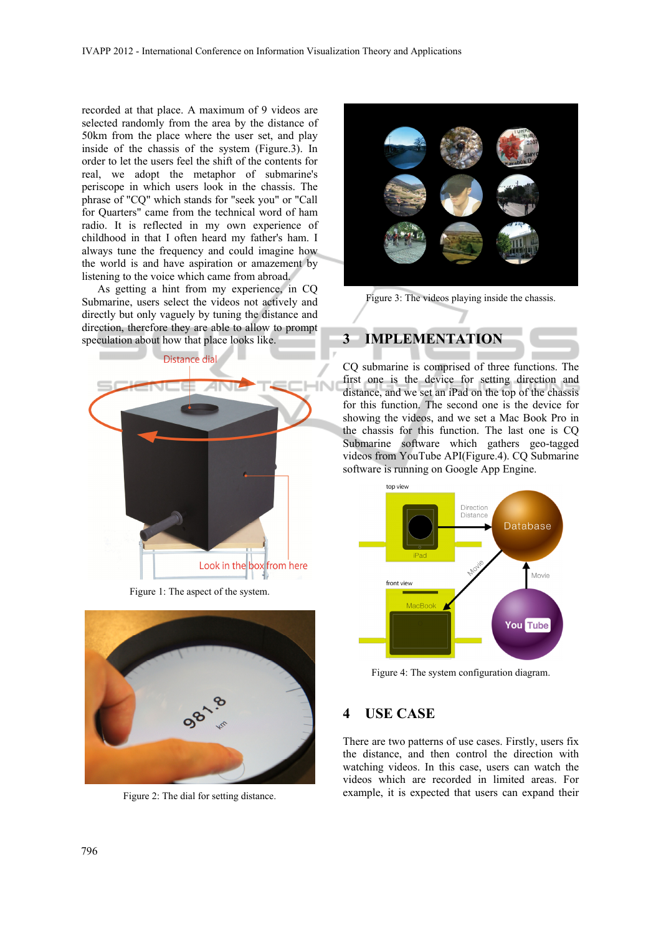recorded at that place. A maximum of 9 videos are selected randomly from the area by the distance of 50km from the place where the user set, and play inside of the chassis of the system (Figure.3). In order to let the users feel the shift of the contents for real, we adopt the metaphor of submarine's periscope in which users look in the chassis. The phrase of "CQ" which stands for "seek you" or "Call for Quarters" came from the technical word of ham radio. It is reflected in my own experience of childhood in that I often heard my father's ham. I always tune the frequency and could imagine how the world is and have aspiration or amazement by listening to the voice which came from abroad.

As getting a hint from my experience, in CQ Submarine, users select the videos not actively and directly but only vaguely by tuning the distance and direction, therefore they are able to allow to prompt speculation about how that place looks like.



Figure 1: The aspect of the system.



Figure 2: The dial for setting distance.



Figure 3: The videos playing inside the chassis.

# **3 IMPLEMENTATION**

CQ submarine is comprised of three functions. The first one is the device for setting direction and distance, and we set an iPad on the top of the chassis for this function. The second one is the device for showing the videos, and we set a Mac Book Pro in the chassis for this function. The last one is CQ Submarine software which gathers geo-tagged videos from YouTube API(Figure.4). CQ Submarine software is running on Google App Engine.



Figure 4: The system configuration diagram.

### **4 USE CASE**

There are two patterns of use cases. Firstly, users fix the distance, and then control the direction with watching videos. In this case, users can watch the videos which are recorded in limited areas. For example, it is expected that users can expand their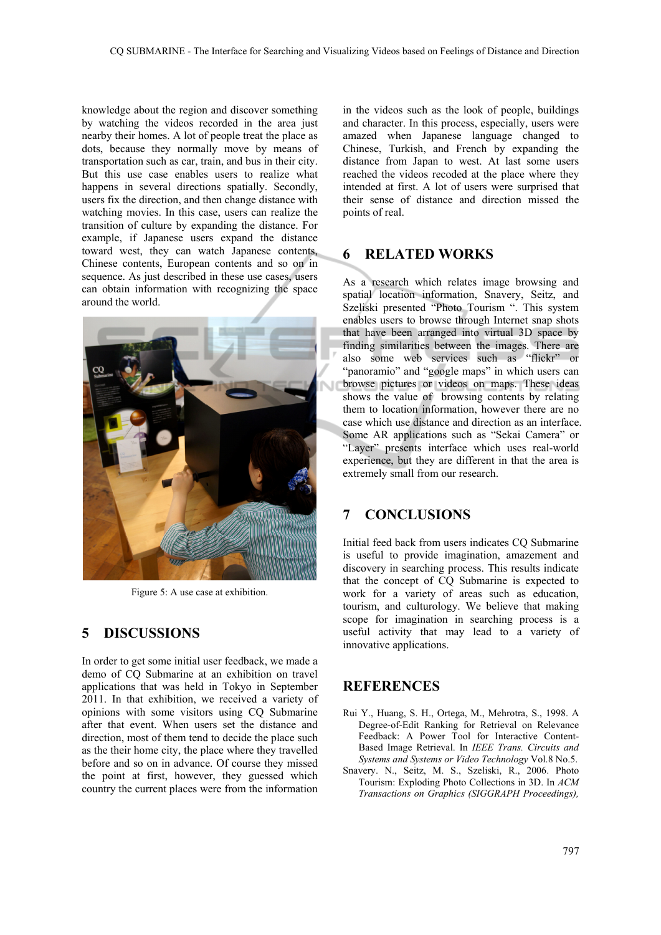knowledge about the region and discover something by watching the videos recorded in the area just nearby their homes. A lot of people treat the place as dots, because they normally move by means of transportation such as car, train, and bus in their city. But this use case enables users to realize what happens in several directions spatially. Secondly, users fix the direction, and then change distance with watching movies. In this case, users can realize the transition of culture by expanding the distance. For example, if Japanese users expand the distance toward west, they can watch Japanese contents, Chinese contents, European contents and so on in sequence. As just described in these use cases, users can obtain information with recognizing the space around the world.



Figure 5: A use case at exhibition.

### **5 DISCUSSIONS**

In order to get some initial user feedback, we made a demo of CQ Submarine at an exhibition on travel applications that was held in Tokyo in September 2011. In that exhibition, we received a variety of opinions with some visitors using CQ Submarine after that event. When users set the distance and direction, most of them tend to decide the place such as the their home city, the place where they travelled before and so on in advance. Of course they missed the point at first, however, they guessed which country the current places were from the information

in the videos such as the look of people, buildings and character. In this process, especially, users were amazed when Japanese language changed to Chinese, Turkish, and French by expanding the distance from Japan to west. At last some users reached the videos recoded at the place where they intended at first. A lot of users were surprised that their sense of distance and direction missed the points of real.

### **6 RELATED WORKS**

As a research which relates image browsing and spatial location information, Snavery, Seitz, and Szeliski presented "Photo Tourism ". This system enables users to browse through Internet snap shots that have been arranged into virtual 3D space by finding similarities between the images. There are also some web services such as "flickr" or "panoramio" and "google maps" in which users can browse pictures or videos on maps. These ideas shows the value of browsing contents by relating them to location information, however there are no case which use distance and direction as an interface. Some AR applications such as "Sekai Camera" or "Layer" presents interface which uses real-world experience, but they are different in that the area is extremely small from our research.

### **7 CONCLUSIONS**

Initial feed back from users indicates CQ Submarine is useful to provide imagination, amazement and discovery in searching process. This results indicate that the concept of CQ Submarine is expected to work for a variety of areas such as education, tourism, and culturology. We believe that making scope for imagination in searching process is a useful activity that may lead to a variety of innovative applications.

## **REFERENCES**

- Rui Y., Huang, S. H., Ortega, M., Mehrotra, S., 1998. A Degree-of-Edit Ranking for Retrieval on Relevance Feedback: A Power Tool for Interactive Content-Based Image Retrieval. In *IEEE Trans. Circuits and Systems and Systems or Video Technology* Vol.8 No.5.
- Snavery. N., Seitz, M. S., Szeliski, R., 2006. Photo Tourism: Exploding Photo Collections in 3D. In *ACM Transactions on Graphics (SIGGRAPH Proceedings),*